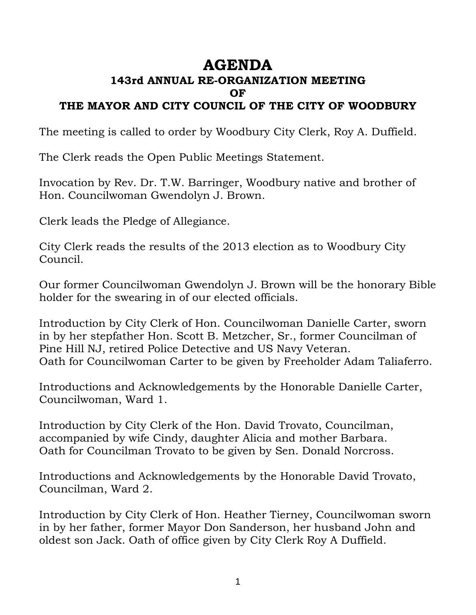# **AGENDA**

## **143rd ANNUAL RE-ORGANIZATION MEETING OF**

### **THE MAYOR AND CITY COUNCIL OF THE CITY OF WOODBURY**

The meeting is called to order by Woodbury City Clerk, Roy A. Duffield.

The Clerk reads the Open Public Meetings Statement.

Invocation by Rev. Dr. T.W. Barringer, Woodbury native and brother of Hon. Councilwoman Gwendolyn J. Brown.

Clerk leads the Pledge of Allegiance.

City Clerk reads the results of the 2013 election as to Woodbury City Council.

Our former Councilwoman Gwendolyn J. Brown will be the honorary Bible holder for the swearing in of our elected officials.

Introduction by City Clerk of Hon. Councilwoman Danielle Carter, sworn in by her stepfather Hon. Scott B. Metzcher, Sr., former Councilman of Pine Hill NJ, retired Police Detective and US Navy Veteran. Oath for Councilwoman Carter to be given by Freeholder Adam Taliaferro.

Introductions and Acknowledgements by the Honorable Danielle Carter, Councilwoman, Ward 1.

Introduction by City Clerk of the Hon. David Trovato, Councilman, accompanied by wife Cindy, daughter Alicia and mother Barbara. Oath for Councilman Trovato to be given by Sen. Donald Norcross.

Introductions and Acknowledgements by the Honorable David Trovato, Councilman, Ward 2.

Introduction by City Clerk of Hon. Heather Tierney, Councilwoman sworn in by her father, former Mayor Don Sanderson, her husband John and oldest son Jack. Oath of office given by City Clerk Roy A Duffield.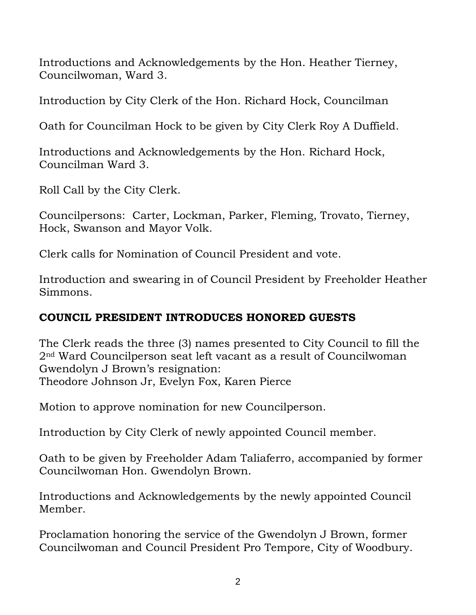Introductions and Acknowledgements by the Hon. Heather Tierney, Councilwoman, Ward 3.

Introduction by City Clerk of the Hon. Richard Hock, Councilman

Oath for Councilman Hock to be given by City Clerk Roy A Duffield.

Introductions and Acknowledgements by the Hon. Richard Hock, Councilman Ward 3.

Roll Call by the City Clerk.

Councilpersons: Carter, Lockman, Parker, Fleming, Trovato, Tierney, Hock, Swanson and Mayor Volk.

Clerk calls for Nomination of Council President and vote.

Introduction and swearing in of Council President by Freeholder Heather Simmons.

## **COUNCIL PRESIDENT INTRODUCES HONORED GUESTS**

The Clerk reads the three (3) names presented to City Council to fill the 2nd Ward Councilperson seat left vacant as a result of Councilwoman Gwendolyn J Brown's resignation: Theodore Johnson Jr, Evelyn Fox, Karen Pierce

Motion to approve nomination for new Councilperson.

Introduction by City Clerk of newly appointed Council member.

Oath to be given by Freeholder Adam Taliaferro, accompanied by former Councilwoman Hon. Gwendolyn Brown.

Introductions and Acknowledgements by the newly appointed Council Member.

Proclamation honoring the service of the Gwendolyn J Brown, former Councilwoman and Council President Pro Tempore, City of Woodbury.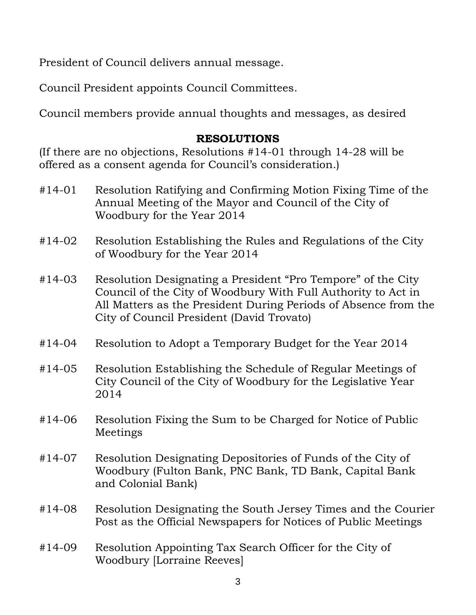President of Council delivers annual message.

Council President appoints Council Committees.

Council members provide annual thoughts and messages, as desired

#### **RESOLUTIONS**

(If there are no objections, Resolutions #14-01 through 14-28 will be offered as a consent agenda for Council's consideration.)

- #14-01 Resolution Ratifying and Confirming Motion Fixing Time of the Annual Meeting of the Mayor and Council of the City of Woodbury for the Year 2014
- #14-02 Resolution Establishing the Rules and Regulations of the City of Woodbury for the Year 2014
- #14-03 Resolution Designating a President "Pro Tempore" of the City Council of the City of Woodbury With Full Authority to Act in All Matters as the President During Periods of Absence from the City of Council President (David Trovato)
- #14-04 Resolution to Adopt a Temporary Budget for the Year 2014
- #14-05 Resolution Establishing the Schedule of Regular Meetings of City Council of the City of Woodbury for the Legislative Year 2014
- #14-06 Resolution Fixing the Sum to be Charged for Notice of Public Meetings
- #14-07 Resolution Designating Depositories of Funds of the City of Woodbury (Fulton Bank, PNC Bank, TD Bank, Capital Bank and Colonial Bank)
- #14-08 Resolution Designating the South Jersey Times and the Courier Post as the Official Newspapers for Notices of Public Meetings
- #14-09 Resolution Appointing Tax Search Officer for the City of Woodbury [Lorraine Reeves]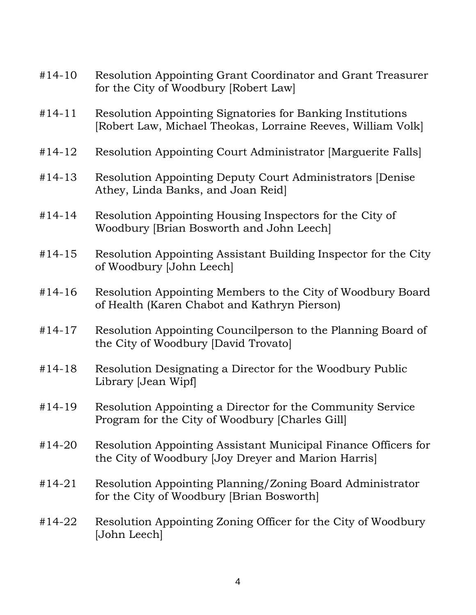| $#14-10$   | Resolution Appointing Grant Coordinator and Grant Treasurer<br>for the City of Woodbury [Robert Law]                       |
|------------|----------------------------------------------------------------------------------------------------------------------------|
| $#14-11$   | Resolution Appointing Signatories for Banking Institutions<br>[Robert Law, Michael Theokas, Lorraine Reeves, William Volk] |
| #14-12     | Resolution Appointing Court Administrator [Marguerite Falls]                                                               |
| $#14-13$   | Resolution Appointing Deputy Court Administrators [Denise]<br>Athey, Linda Banks, and Joan Reid]                           |
| $#14-14$   | Resolution Appointing Housing Inspectors for the City of<br>Woodbury [Brian Bosworth and John Leech]                       |
| $#14-15$   | Resolution Appointing Assistant Building Inspector for the City<br>of Woodbury [John Leech]                                |
| $#14-16$   | Resolution Appointing Members to the City of Woodbury Board<br>of Health (Karen Chabot and Kathryn Pierson)                |
| $#14-17$   | Resolution Appointing Councilperson to the Planning Board of<br>the City of Woodbury [David Trovato]                       |
| $#14-18$   | Resolution Designating a Director for the Woodbury Public<br>Library [Jean Wipf]                                           |
| $#14-19$   | Resolution Appointing a Director for the Community Service<br>Program for the City of Woodbury [Charles Gill]              |
| #14-20     | Resolution Appointing Assistant Municipal Finance Officers for<br>the City of Woodbury [Joy Dreyer and Marion Harris]      |
| $#14 - 21$ | Resolution Appointing Planning/Zoning Board Administrator<br>for the City of Woodbury [Brian Bosworth]                     |
| #14-22     | Resolution Appointing Zoning Officer for the City of Woodbury<br>[John Leech]                                              |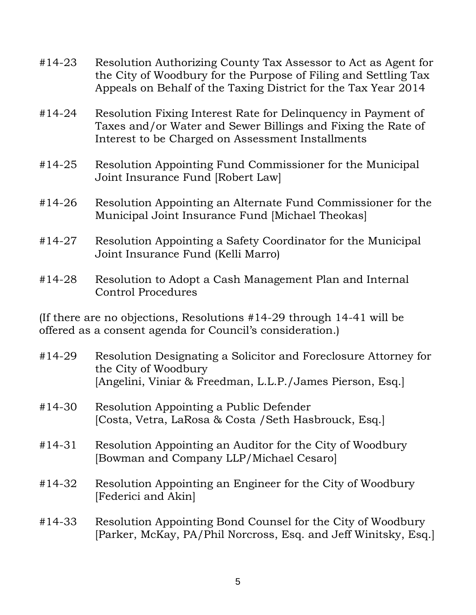- #14-23 Resolution Authorizing County Tax Assessor to Act as Agent for the City of Woodbury for the Purpose of Filing and Settling Tax Appeals on Behalf of the Taxing District for the Tax Year 2014
- #14-24 Resolution Fixing Interest Rate for Delinquency in Payment of Taxes and/or Water and Sewer Billings and Fixing the Rate of Interest to be Charged on Assessment Installments
- #14-25 Resolution Appointing Fund Commissioner for the Municipal Joint Insurance Fund [Robert Law]
- #14-26 Resolution Appointing an Alternate Fund Commissioner for the Municipal Joint Insurance Fund [Michael Theokas]
- #14-27 Resolution Appointing a Safety Coordinator for the Municipal Joint Insurance Fund (Kelli Marro)
- #14-28 Resolution to Adopt a Cash Management Plan and Internal Control Procedures

(If there are no objections, Resolutions #14-29 through 14-41 will be offered as a consent agenda for Council's consideration.)

- #14-29 Resolution Designating a Solicitor and Foreclosure Attorney for the City of Woodbury [Angelini, Viniar & Freedman, L.L.P./James Pierson, Esq.]
- #14-30 Resolution Appointing a Public Defender [Costa, Vetra, LaRosa & Costa /Seth Hasbrouck, Esq.]
- #14-31 Resolution Appointing an Auditor for the City of Woodbury [Bowman and Company LLP/Michael Cesaro]
- #14-32 Resolution Appointing an Engineer for the City of Woodbury [Federici and Akin]
- #14-33 Resolution Appointing Bond Counsel for the City of Woodbury [Parker, McKay, PA/Phil Norcross, Esq. and Jeff Winitsky, Esq.]